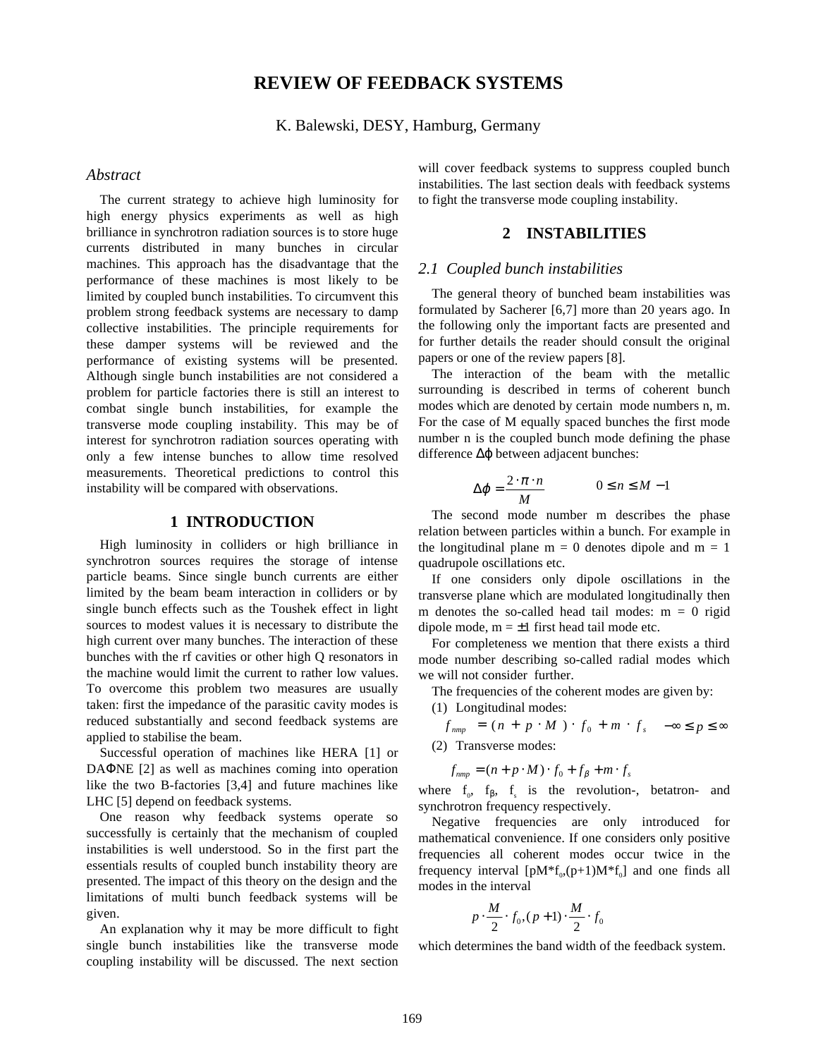# **REVIEW OF FEEDBACK SYSTEMS**

K. Balewski, DESY, Hamburg, Germany

#### *Abstract*

The current strategy to achieve high luminosity for high energy physics experiments as well as high brilliance in synchrotron radiation sources is to store huge currents distributed in many bunches in circular machines. This approach has the disadvantage that the performance of these machines is most likely to be limited by coupled bunch instabilities. To circumvent this problem strong feedback systems are necessary to damp collective instabilities. The principle requirements for these damper systems will be reviewed and the performance of existing systems will be presented. Although single bunch instabilities are not considered a problem for particle factories there is still an interest to combat single bunch instabilities, for example the transverse mode coupling instability. This may be of interest for synchrotron radiation sources operating with only a few intense bunches to allow time resolved measurements. Theoretical predictions to control this instability will be compared with observations.

### **1 INTRODUCTION**

High luminosity in colliders or high brilliance in synchrotron sources requires the storage of intense particle beams. Since single bunch currents are either limited by the beam beam interaction in colliders or by single bunch effects such as the Toushek effect in light sources to modest values it is necessary to distribute the high current over many bunches. The interaction of these bunches with the rf cavities or other high Q resonators in the machine would limit the current to rather low values. To overcome this problem two measures are usually taken: first the impedance of the parasitic cavity modes is reduced substantially and second feedback systems are applied to stabilise the beam.

Successful operation of machines like HERA [1] or DAΦNE [2] as well as machines coming into operation like the two B-factories [3,4] and future machines like LHC [5] depend on feedback systems.

One reason why feedback systems operate so successfully is certainly that the mechanism of coupled instabilities is well understood. So in the first part the essentials results of coupled bunch instability theory are presented. The impact of this theory on the design and the limitations of multi bunch feedback systems will be given.

An explanation why it may be more difficult to fight single bunch instabilities like the transverse mode coupling instability will be discussed. The next section will cover feedback systems to suppress coupled bunch instabilities. The last section deals with feedback systems to fight the transverse mode coupling instability.

#### **2 INSTABILITIES**

#### *2.1 Coupled bunch instabilities*

The general theory of bunched beam instabilities was formulated by Sacherer [6,7] more than 20 years ago. In the following only the important facts are presented and for further details the reader should consult the original papers or one of the review papers [8].

The interaction of the beam with the metallic surrounding is described in terms of coherent bunch modes which are denoted by certain mode numbers n, m. For the case of M equally spaced bunches the first mode number n is the coupled bunch mode defining the phase difference ∆ϕ between adjacent bunches:

$$
\Delta \varphi = \frac{2 \cdot \pi \cdot n}{M} \qquad \qquad 0 \le n \le M - 1
$$

The second mode number m describes the phase relation between particles within a bunch. For example in the longitudinal plane  $m = 0$  denotes dipole and  $m = 1$ quadrupole oscillations etc.

If one considers only dipole oscillations in the transverse plane which are modulated longitudinally then m denotes the so-called head tail modes:  $m = 0$  rigid dipole mode,  $m = \pm 1$  first head tail mode etc.

For completeness we mention that there exists a third mode number describing so-called radial modes which we will not consider further.

The frequencies of the coherent modes are given by:

(1) Longitudinal modes:

$$
f_{\text{mmp}} = (n + p \cdot M) \cdot f_0 + m \cdot f_s \quad -\infty \le p \le \infty
$$
  
(2) Transverse modes:

$$
f_{nmp} = (n + p \cdot M) \cdot f_0 + f_\beta + m \cdot f_s
$$

where  $f_0$ ,  $f_\beta$ ,  $f_s$  is the revolution-, betatron- and synchrotron frequency respectively.

Negative frequencies are only introduced for mathematical convenience. If one considers only positive frequencies all coherent modes occur twice in the frequency interval  $[pM^*f_{0}(p+1)M^*f_{0}]$  and one finds all modes in the interval

$$
\left[p \cdot \frac{M}{2} \cdot f_0, (p+1) \cdot \frac{M}{2} \cdot f_0\right]
$$

which determines the band width of the feedback system.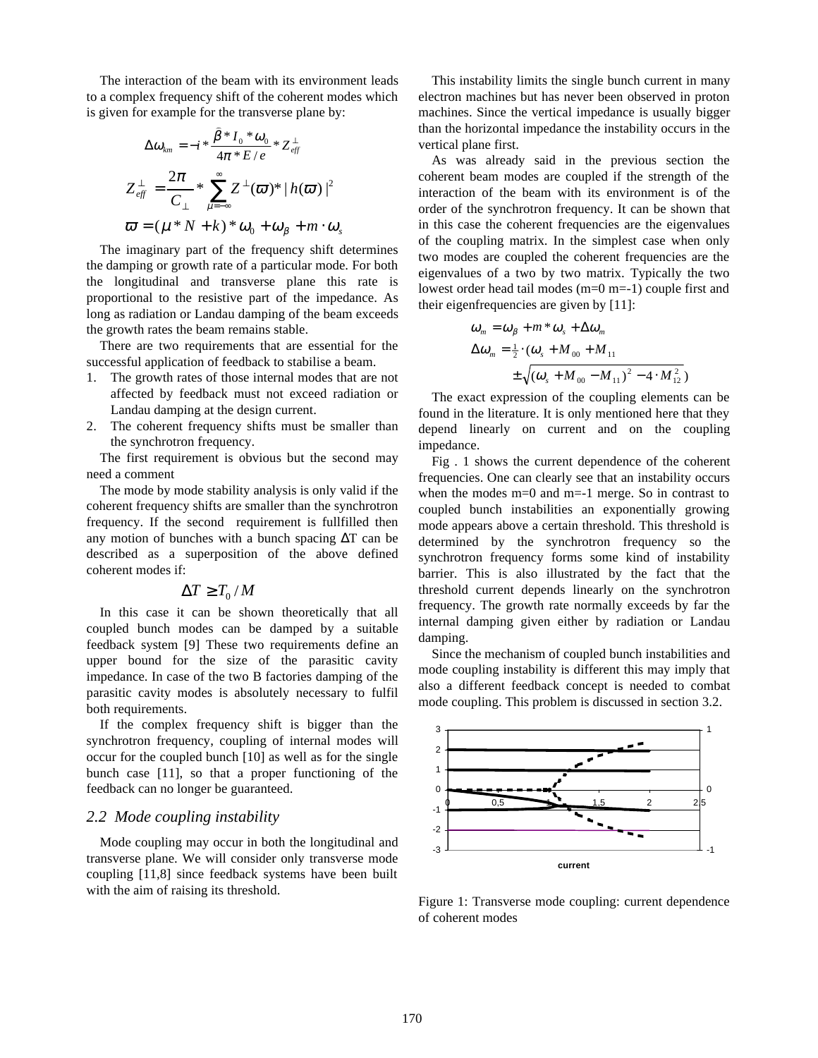The interaction of the beam with its environment leads to a complex frequency shift of the coherent modes which is given for example for the transverse plane by:

$$
\Delta \omega_{km} = -i * \frac{\beta * I_0 * \omega_0}{4\pi * E/e} * Z_{eff}^{\perp}
$$
  

$$
Z_{eff}^{\perp} = \frac{2\pi}{C_{\perp}} * \sum_{\mu=-\infty}^{\infty} Z^{\perp}(\varpi) * |h(\varpi)|^2
$$
  

$$
\varpi = (\mu * N + k) * \omega_0 + \omega_{\beta} + m \cdot \omega_s
$$

The imaginary part of the frequency shift determines the damping or growth rate of a particular mode. For both the longitudinal and transverse plane this rate is proportional to the resistive part of the impedance. As long as radiation or Landau damping of the beam exceeds the growth rates the beam remains stable.

There are two requirements that are essential for the successful application of feedback to stabilise a beam.

- 1. The growth rates of those internal modes that are not affected by feedback must not exceed radiation or Landau damping at the design current.
- 2. The coherent frequency shifts must be smaller than the synchrotron frequency.

The first requirement is obvious but the second may need a comment

The mode by mode stability analysis is only valid if the coherent frequency shifts are smaller than the synchrotron frequency. If the second requirement is fullfilled then any motion of bunches with a bunch spacing ∆T can be described as a superposition of the above defined coherent modes if:

$$
\Delta T \geq T_0/M
$$

In this case it can be shown theoretically that all coupled bunch modes can be damped by a suitable feedback system [9] These two requirements define an upper bound for the size of the parasitic cavity impedance. In case of the two B factories damping of the parasitic cavity modes is absolutely necessary to fulfil both requirements.

If the complex frequency shift is bigger than the synchrotron frequency, coupling of internal modes will occur for the coupled bunch [10] as well as for the single bunch case [11], so that a proper functioning of the feedback can no longer be guaranteed.

#### *2.2 Mode coupling instability*

Mode coupling may occur in both the longitudinal and transverse plane. We will consider only transverse mode coupling [11,8] since feedback systems have been built with the aim of raising its threshold.

This instability limits the single bunch current in many electron machines but has never been observed in proton machines. Since the vertical impedance is usually bigger than the horizontal impedance the instability occurs in the vertical plane first.

As was already said in the previous section the coherent beam modes are coupled if the strength of the interaction of the beam with its environment is of the order of the synchrotron frequency. It can be shown that in this case the coherent frequencies are the eigenvalues of the coupling matrix. In the simplest case when only two modes are coupled the coherent frequencies are the eigenvalues of a two by two matrix. Typically the two lowest order head tail modes (m=0 m=-1) couple first and their eigenfrequencies are given by [11]:

$$
\omega_m = \omega_\beta + m^* \omega_s + \Delta \omega_m
$$
  
\n
$$
\Delta \omega_m = \frac{1}{2} \cdot (\omega_s + M_{00} + M_{11}) + \sqrt{(\omega_s + M_{00} - M_{11})^2 - 4 \cdot M_{12}^2})
$$

The exact expression of the coupling elements can be found in the literature. It is only mentioned here that they depend linearly on current and on the coupling impedance.

Fig . 1 shows the current dependence of the coherent frequencies. One can clearly see that an instability occurs when the modes m=0 and m=-1 merge. So in contrast to coupled bunch instabilities an exponentially growing mode appears above a certain threshold. This threshold is determined by the synchrotron frequency so the synchrotron frequency forms some kind of instability barrier. This is also illustrated by the fact that the threshold current depends linearly on the synchrotron frequency. The growth rate normally exceeds by far the internal damping given either by radiation or Landau damping.

Since the mechanism of coupled bunch instabilities and mode coupling instability is different this may imply that also a different feedback concept is needed to combat mode coupling. This problem is discussed in section 3.2.



Figure 1: Transverse mode coupling: current dependence of coherent modes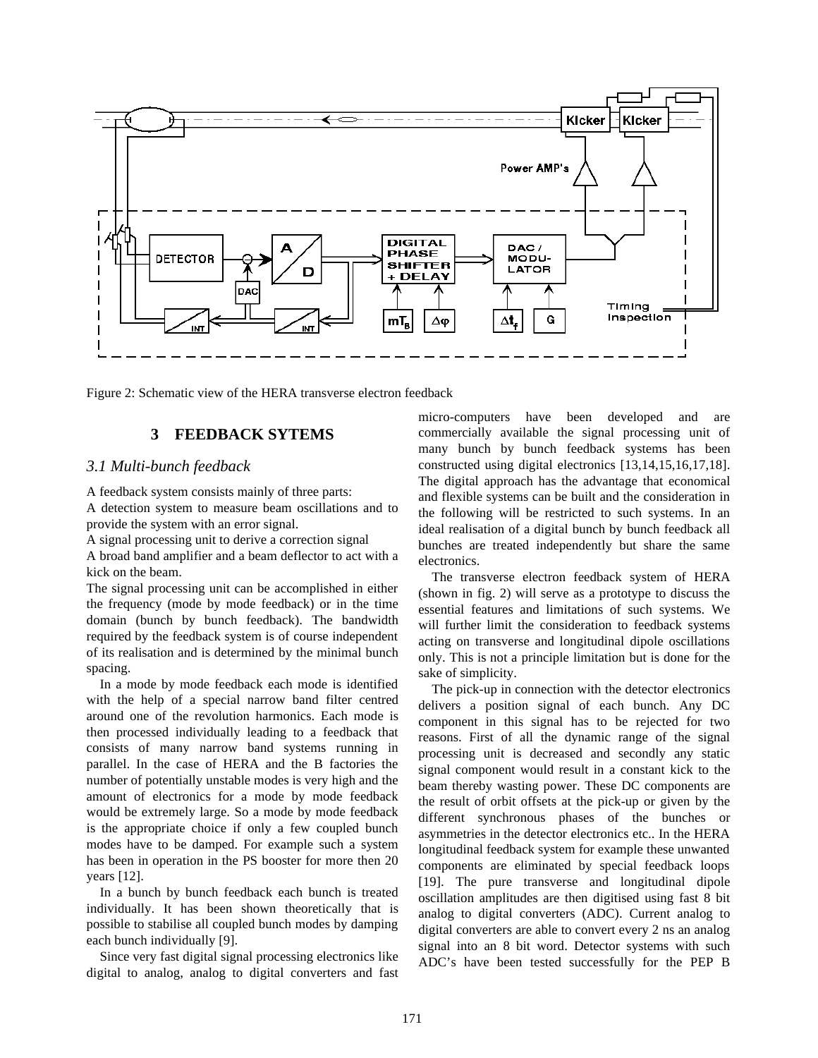

Figure 2: Schematic view of the HERA transverse electron feedback

## **3 FEEDBACK SYTEMS**

## *3.1 Multi-bunch feedback*

A feedback system consists mainly of three parts:

A detection system to measure beam oscillations and to provide the system with an error signal.

A signal processing unit to derive a correction signal

A broad band amplifier and a beam deflector to act with a kick on the beam.

The signal processing unit can be accomplished in either the frequency (mode by mode feedback) or in the time domain (bunch by bunch feedback). The bandwidth required by the feedback system is of course independent of its realisation and is determined by the minimal bunch spacing.

In a mode by mode feedback each mode is identified with the help of a special narrow band filter centred around one of the revolution harmonics. Each mode is then processed individually leading to a feedback that consists of many narrow band systems running in parallel. In the case of HERA and the B factories the number of potentially unstable modes is very high and the amount of electronics for a mode by mode feedback would be extremely large. So a mode by mode feedback is the appropriate choice if only a few coupled bunch modes have to be damped. For example such a system has been in operation in the PS booster for more then 20 years [12].

In a bunch by bunch feedback each bunch is treated individually. It has been shown theoretically that is possible to stabilise all coupled bunch modes by damping each bunch individually [9].

Since very fast digital signal processing electronics like digital to analog, analog to digital converters and fast

micro-computers have been developed and are commercially available the signal processing unit of many bunch by bunch feedback systems has been constructed using digital electronics [13,14,15,16,17,18]. The digital approach has the advantage that economical and flexible systems can be built and the consideration in the following will be restricted to such systems. In an ideal realisation of a digital bunch by bunch feedback all bunches are treated independently but share the same electronics.

The transverse electron feedback system of HERA (shown in fig. 2) will serve as a prototype to discuss the essential features and limitations of such systems. We will further limit the consideration to feedback systems acting on transverse and longitudinal dipole oscillations only. This is not a principle limitation but is done for the sake of simplicity.

The pick-up in connection with the detector electronics delivers a position signal of each bunch. Any DC component in this signal has to be rejected for two reasons. First of all the dynamic range of the signal processing unit is decreased and secondly any static signal component would result in a constant kick to the beam thereby wasting power. These DC components are the result of orbit offsets at the pick-up or given by the different synchronous phases of the bunches or asymmetries in the detector electronics etc.. In the HERA longitudinal feedback system for example these unwanted components are eliminated by special feedback loops [19]. The pure transverse and longitudinal dipole oscillation amplitudes are then digitised using fast 8 bit analog to digital converters (ADC). Current analog to digital converters are able to convert every 2 ns an analog signal into an 8 bit word. Detector systems with such ADC's have been tested successfully for the PEP B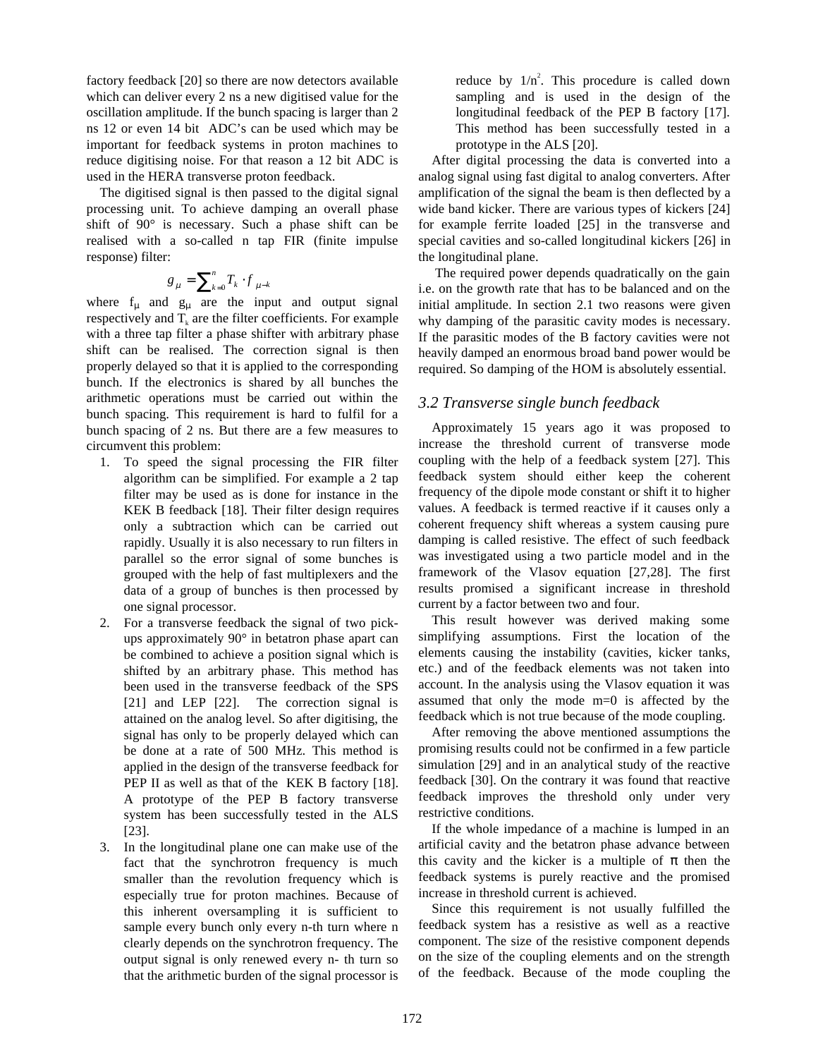factory feedback [20] so there are now detectors available which can deliver every 2 ns a new digitised value for the oscillation amplitude. If the bunch spacing is larger than 2 ns 12 or even 14 bit ADC's can be used which may be important for feedback systems in proton machines to reduce digitising noise. For that reason a 12 bit ADC is used in the HERA transverse proton feedback.

The digitised signal is then passed to the digital signal processing unit. To achieve damping an overall phase shift of 90° is necessary. Such a phase shift can be realised with a so-called n tap FIR (finite impulse response) filter:

$$
g_{\mu} = \sum_{k=0}^{n} T_k \cdot f_{\mu-k}
$$

where  $f_{\mu}$  and  $g_{\mu}$  are the input and output signal respectively and  $T_k$  are the filter coefficients. For example with a three tap filter a phase shifter with arbitrary phase shift can be realised. The correction signal is then properly delayed so that it is applied to the corresponding bunch. If the electronics is shared by all bunches the arithmetic operations must be carried out within the bunch spacing. This requirement is hard to fulfil for a bunch spacing of 2 ns. But there are a few measures to circumvent this problem:

- 1. To speed the signal processing the FIR filter algorithm can be simplified. For example a 2 tap filter may be used as is done for instance in the KEK B feedback [18]. Their filter design requires only a subtraction which can be carried out rapidly. Usually it is also necessary to run filters in parallel so the error signal of some bunches is grouped with the help of fast multiplexers and the data of a group of bunches is then processed by one signal processor.
- 2. For a transverse feedback the signal of two pickups approximately 90° in betatron phase apart can be combined to achieve a position signal which is shifted by an arbitrary phase. This method has been used in the transverse feedback of the SPS [21] and LEP [22]. The correction signal is attained on the analog level. So after digitising, the signal has only to be properly delayed which can be done at a rate of 500 MHz. This method is applied in the design of the transverse feedback for PEP II as well as that of the KEK B factory [18]. A prototype of the PEP B factory transverse system has been successfully tested in the ALS [23].
- 3. In the longitudinal plane one can make use of the fact that the synchrotron frequency is much smaller than the revolution frequency which is especially true for proton machines. Because of this inherent oversampling it is sufficient to sample every bunch only every n-th turn where n clearly depends on the synchrotron frequency. The output signal is only renewed every n- th turn so that the arithmetic burden of the signal processor is

reduce by  $1/n^2$ . This procedure is called down sampling and is used in the design of the longitudinal feedback of the PEP B factory [17]. This method has been successfully tested in a prototype in the ALS [20].

After digital processing the data is converted into a analog signal using fast digital to analog converters. After amplification of the signal the beam is then deflected by a wide band kicker. There are various types of kickers [24] for example ferrite loaded [25] in the transverse and special cavities and so-called longitudinal kickers [26] in the longitudinal plane.

 The required power depends quadratically on the gain i.e. on the growth rate that has to be balanced and on the initial amplitude. In section 2.1 two reasons were given why damping of the parasitic cavity modes is necessary. If the parasitic modes of the B factory cavities were not heavily damped an enormous broad band power would be required. So damping of the HOM is absolutely essential.

## *3.2 Transverse single bunch feedback*

Approximately 15 years ago it was proposed to increase the threshold current of transverse mode coupling with the help of a feedback system [27]. This feedback system should either keep the coherent frequency of the dipole mode constant or shift it to higher values. A feedback is termed reactive if it causes only a coherent frequency shift whereas a system causing pure damping is called resistive. The effect of such feedback was investigated using a two particle model and in the framework of the Vlasov equation [27,28]. The first results promised a significant increase in threshold current by a factor between two and four.

This result however was derived making some simplifying assumptions. First the location of the elements causing the instability (cavities, kicker tanks, etc.) and of the feedback elements was not taken into account. In the analysis using the Vlasov equation it was assumed that only the mode m=0 is affected by the feedback which is not true because of the mode coupling.

After removing the above mentioned assumptions the promising results could not be confirmed in a few particle simulation [29] and in an analytical study of the reactive feedback [30]. On the contrary it was found that reactive feedback improves the threshold only under very restrictive conditions.

If the whole impedance of a machine is lumped in an artificial cavity and the betatron phase advance between this cavity and the kicker is a multiple of  $\pi$  then the feedback systems is purely reactive and the promised increase in threshold current is achieved.

Since this requirement is not usually fulfilled the feedback system has a resistive as well as a reactive component. The size of the resistive component depends on the size of the coupling elements and on the strength of the feedback. Because of the mode coupling the